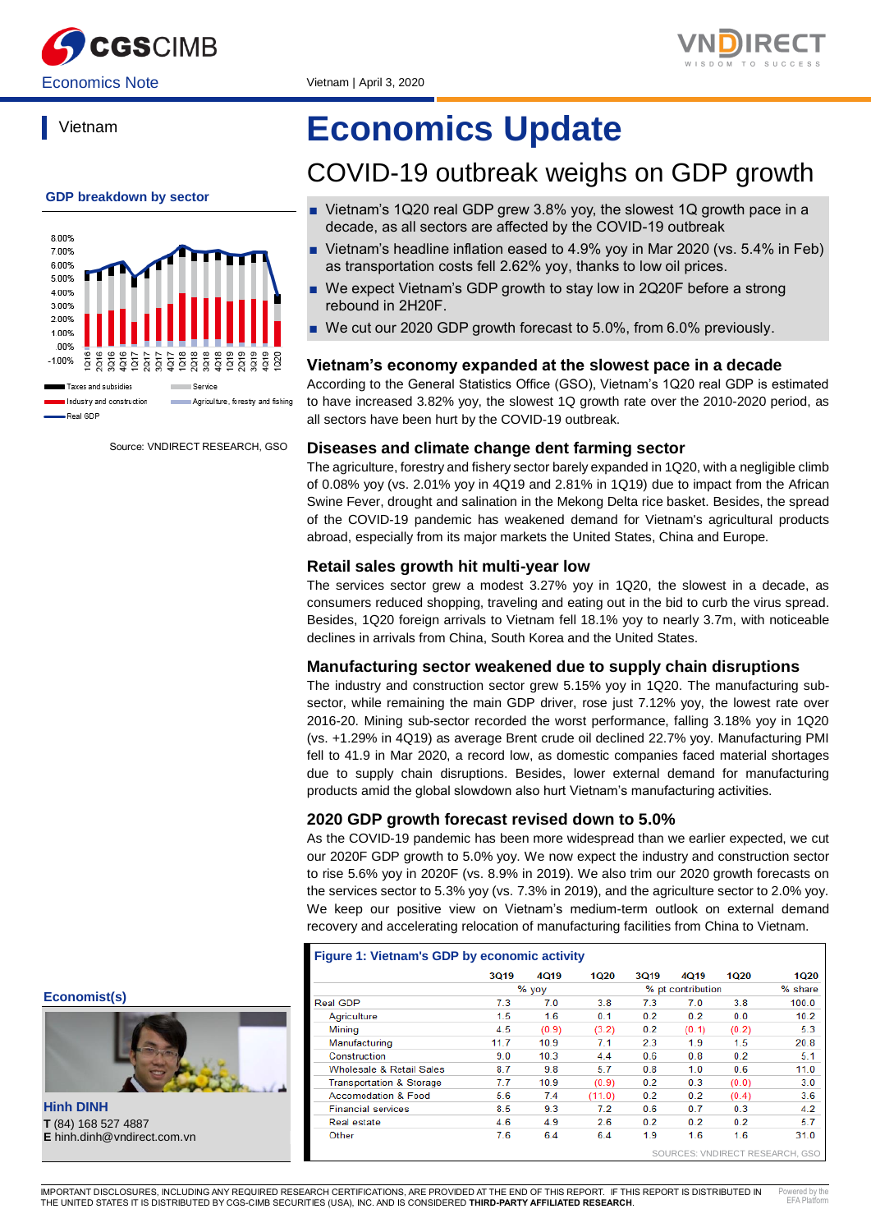



Vietnam



Source: VNDIRECT RESEARCH, GSO

# **Economics Update**

# COVID-19 outbreak weighs on GDP growth

- Vietnam's 1Q20 real GDP grew 3.8% yoy, the slowest 1Q growth pace in a decade, as all sectors are affected by the COVID-19 outbreak
- Vietnam's headline inflation eased to 4.9% yoy in Mar 2020 (vs. 5.4% in Feb) as transportation costs fell 2.62% yoy, thanks to low oil prices.
- We expect Vietnam's GDP growth to stay low in 2Q20F before a strong rebound in 2H20F.
- We cut our 2020 GDP growth forecast to 5.0%, from 6.0% previously.

#### **Vietnam's economy expanded at the slowest pace in a decade**

According to the General Statistics Office (GSO), Vietnam's 1Q20 real GDP is estimated to have increased 3.82% yoy, the slowest 1Q growth rate over the 2010-2020 period, as all sectors have been hurt by the COVID-19 outbreak.

#### **Diseases and climate change dent farming sector**

The agriculture, forestry and fishery sector barely expanded in 1Q20, with a negligible climb of 0.08% yoy (vs. 2.01% yoy in 4Q19 and 2.81% in 1Q19) due to impact from the African Swine Fever, drought and salination in the Mekong Delta rice basket. Besides, the spread of the COVID-19 pandemic has weakened demand for Vietnam's agricultural products abroad, especially from its major markets the United States, China and Europe.

#### **Retail sales growth hit multi-year low**

The services sector grew a modest 3.27% yoy in 1Q20, the slowest in a decade, as consumers reduced shopping, traveling and eating out in the bid to curb the virus spread. Besides, 1Q20 foreign arrivals to Vietnam fell 18.1% yoy to nearly 3.7m, with noticeable declines in arrivals from China, South Korea and the United States.

#### **Manufacturing sector weakened due to supply chain disruptions**

The industry and construction sector grew 5.15% yoy in 1Q20. The manufacturing subsector, while remaining the main GDP driver, rose just 7.12% yoy, the lowest rate over 2016-20. Mining sub-sector recorded the worst performance, falling 3.18% yoy in 1Q20 (vs. +1.29% in 4Q19) as average Brent crude oil declined 22.7% yoy. Manufacturing PMI fell to 41.9 in Mar 2020, a record low, as domestic companies faced material shortages due to supply chain disruptions. Besides, lower external demand for manufacturing products amid the global slowdown also hurt Vietnam's manufacturing activities.

#### **2020 GDP growth forecast revised down to 5.0%**

As the COVID-19 pandemic has been more widespread than we earlier expected, we cut our 2020F GDP growth to 5.0% yoy. We now expect the industry and construction sector to rise 5.6% yoy in 2020F (vs. 8.9% in 2019). We also trim our 2020 growth forecasts on the services sector to 5.3% yoy (vs. 7.3% in 2019), and the agriculture sector to 2.0% yoy. We keep our positive view on Vietnam's medium-term outlook on external demand recovery and accelerating relocation of manufacturing facilities from China to Vietnam.

#### **Figure 1: Vietnam's GDP by economic activity**

|                                     | <b>3Q19</b> | <b>4Q19</b> | <b>1Q20</b> | <b>3Q19</b> | 4019              | 1020  | 1Q20    |
|-------------------------------------|-------------|-------------|-------------|-------------|-------------------|-------|---------|
|                                     |             | % yoy       |             |             | % pt contribution |       | % share |
| Real GDP                            | 7.3         | 7.0         | 3.8         | 7.3         | 7.0               | 3.8   | 100.0   |
| Agriculture                         | 1.5         | 1.6         | 0.1         | 0.2         | 0.2               | 0.0   | 10.2    |
| Mining                              | 4.5         | (0.9)       | (3.2)       | 0.2         | (0.1)             | (0.2) | 5.3     |
| Manufacturing                       | 11.7        | 10.9        | 7.1         | 2.3         | 1.9               | 1.5   | 20.8    |
| Construction                        | 9.0         | 10.3        | 4.4         | 0.6         | 0.8               | 0.2   | 5.1     |
| Wholesale & Retail Sales            | 8.7         | 9.8         | 5.7         | 0.8         | 1.0               | 0.6   | 11.0    |
| <b>Transportation &amp; Storage</b> | 7.7         | 10.9        | (0.9)       | 0.2         | 0.3               | (0.0) | 3.0     |
| <b>Accomodation &amp; Food</b>      | 5.6         | 7.4         | (11.0)      | 0.2         | 0.2               | (0.4) | 3.6     |
| <b>Financial services</b>           | 8.5         | 9.3         | 7.2         | 0.6         | 0.7               | 0.3   | 4.2     |
| Real estate                         | 4.6         | 4.9         | 2.6         | 0.2         | 0.2               | 0.2   | 5.7     |
| Other                               | 7.6         | 6.4         | 6.4         | 1.9         | 1.6               | 1.6   | 31.0    |

#### **Economist(s)**



**Hinh DINH T** (84) 168 527 4887 **E** hinh.dinh@vndirect.com.vn

٦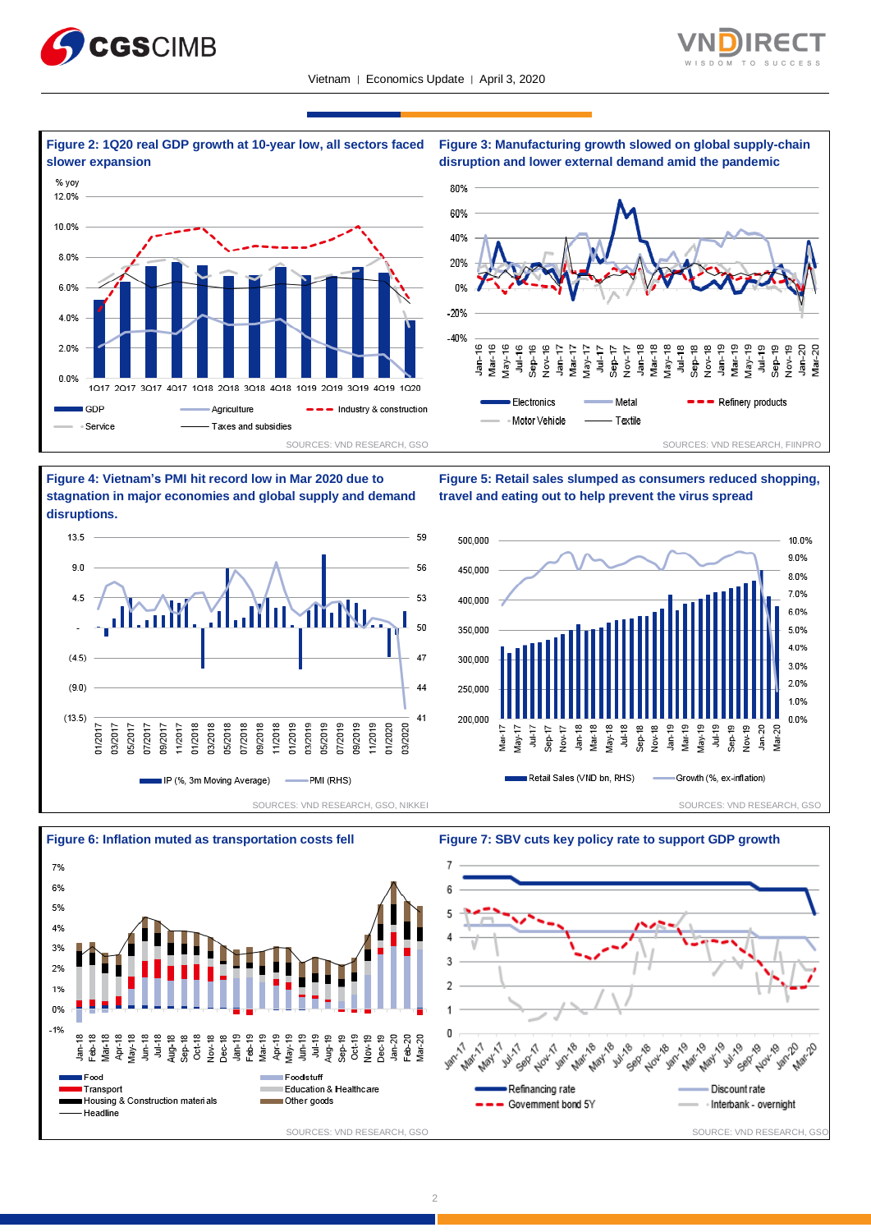













**Figure 5: Retail sales slumped as consumers reduced shopping,** 





**travel and eating out to help prevent the virus spread**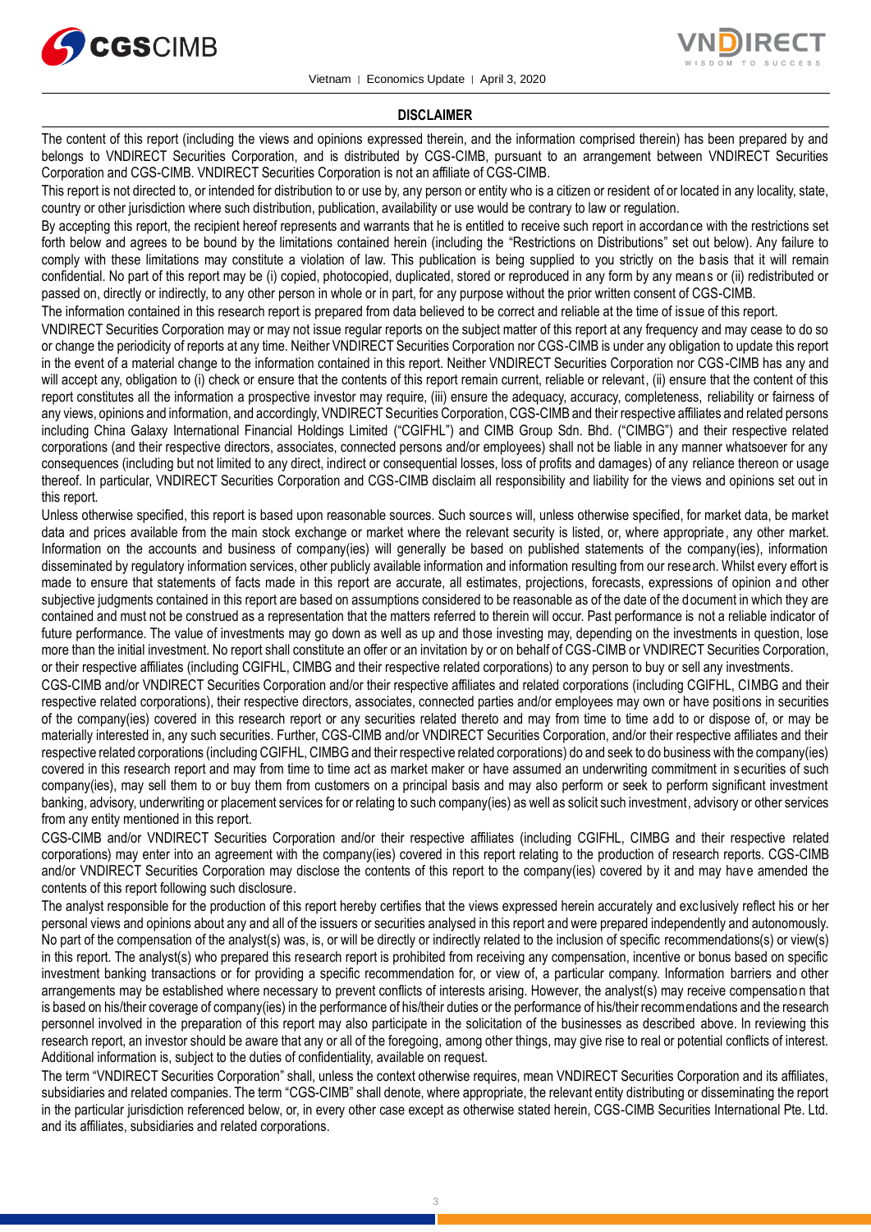



#### **DISCLAIMER**

The content of this report (including the views and opinions expressed therein, and the information comprised therein) has been prepared by and belongs to VNDIRECT Securities Corporation, and is distributed by CGS-CIMB, pursuant to an arrangement between VNDIRECT Securities Corporation and CGS-CIMB. VNDIRECT Securities Corporation is not an affiliate of CGS-CIMB.

This report is not directed to, or intended for distribution to or use by, any person or entity who is a citizen or resident of or located in any locality, state, country or other jurisdiction where such distribution, publication, availability or use would be contrary to law or regulation.

By accepting this report, the recipient hereof represents and warrants that he is entitled to receive such report in accordance with the restrictions set forth below and agrees to be bound by the limitations contained herein (including the "Restrictions on Distributions" set out below). Any failure to comply with these limitations may constitute a violation of law. This publication is being supplied to you strictly on the basis that it will remain confidential. No part of this report may be (i) copied, photocopied, duplicated, stored or reproduced in any form by any means or (ii) redistributed or passed on, directly or indirectly, to any other person in whole or in part, for any purpose without the prior written consent of CGS-CIMB.

The information contained in this research report is prepared from data believed to be correct and reliable at the time of issue of this report.

VNDIRECT Securities Corporation may or may not issue regular reports on the subject matter of this report at any frequency and may cease to do so or change the periodicity of reports at any time. Neither VNDIRECT Securities Corporation nor CGS-CIMB is under any obligation to update this report in the event of a material change to the information contained in this report. Neither VNDIRECT Securities Corporation nor CGS-CIMB has any and will accept any, obligation to (i) check or ensure that the contents of this report remain current, reliable or relevant, (ii) ensure that the content of this report constitutes all the information a prospective investor may require, (iii) ensure the adequacy, accuracy, completeness, reliability or fairness of any views, opinions and information, and accordingly, VNDIRECT Securities Corporation, CGS-CIMB and their respective affiliates and related persons including China Galaxy International Financial Holdings Limited ("CGIFHL") and CIMB Group Sdn. Bhd. ("CIMBG") and their respective related corporations (and their respective directors, associates, connected persons and/or employees) shall not be liable in any manner whatsoever for any consequences (including but not limited to any direct, indirect or consequential losses, loss of profits and damages) of any reliance thereon or usage thereof. In particular, VNDIRECT Securities Corporation and CGS-CIMB disclaim all responsibility and liability for the views and opinions set out in this report.

Unless otherwise specified, this report is based upon reasonable sources. Such sources will, unless otherwise specified, for market data, be market data and prices available from the main stock exchange or market where the relevant security is listed, or, where appropriate, any other market. Information on the accounts and business of company(ies) will generally be based on published statements of the company(ies), information disseminated by regulatory information services, other publicly available information and information resulting from our research. Whilst every effort is made to ensure that statements of facts made in this report are accurate, all estimates, projections, forecasts, expressions of opinion and other subjective judgments contained in this report are based on assumptions considered to be reasonable as of the date of the document in which they are contained and must not be construed as a representation that the matters referred to therein will occur. Past performance is not a reliable indicator of future performance. The value of investments may go down as well as up and those investing may, depending on the investments in question, lose more than the initial investment. No report shall constitute an offer or an invitation by or on behalf of CGS-CIMB or VNDIRECT Securities Corporation, or their respective affiliates (including CGIFHL, CIMBG and their respective related corporations) to any person to buy or sell any investments.

CGS-CIMB and/or VNDIRECT Securities Corporation and/or their respective affiliates and related corporations (including CGIFHL, CIMBG and their respective related corporations), their respective directors, associates, connected parties and/or employees may own or have positions in securities of the company(ies) covered in this research report or any securities related thereto and may from time to time add to or dispose of, or may be materially interested in, any such securities. Further, CGS-CIMB and/or VNDIRECT Securities Corporation, and/or their respective affiliates and their respective related corporations (including CGIFHL, CIMBG and their respective related corporations) do and seek to do business with the company(ies) covered in this research report and may from time to time act as market maker or have assumed an underwriting commitment in securities of such company(ies), may sell them to or buy them from customers on a principal basis and may also perform or seek to perform significant investment banking, advisory, underwriting or placement services for or relating to such company(ies) as well as solicit such investment, advisory or other services from any entity mentioned in this report.

CGS-CIMB and/or VNDIRECT Securities Corporation and/or their respective affiliates (including CGIFHL, CIMBG and their respective related corporations) may enter into an agreement with the company(ies) covered in this report relating to the production of research reports. CGS-CIMB and/or VNDIRECT Securities Corporation may disclose the contents of this report to the company(ies) covered by it and may have amended the contents of this report following such disclosure.

The analyst responsible for the production of this report hereby certifies that the views expressed herein accurately and exc lusively reflect his or her personal views and opinions about any and all of the issuers or securities analysed in this report and were prepared independently and autonomously. No part of the compensation of the analyst(s) was, is, or will be directly or indirectly related to the inclusion of specific recommendations(s) or view(s) in this report. The analyst(s) who prepared this research report is prohibited from receiving any compensation, incentive or bonus based on specific investment banking transactions or for providing a specific recommendation for, or view of, a particular company. Information barriers and other arrangements may be established where necessary to prevent conflicts of interests arising. However, the analyst(s) may receive compensation that is based on his/their coverage of company(ies) in the performance of his/their duties or the performance of his/their recommendations and the research personnel involved in the preparation of this report may also participate in the solicitation of the businesses as described above. In reviewing this research report, an investor should be aware that any or all of the foregoing, among other things, may give rise to real or potential conflicts of interest. Additional information is, subject to the duties of confidentiality, available on request.

The term "VNDIRECT Securities Corporation" shall, unless the context otherwise requires, mean VNDIRECT Securities Corporation and its affiliates, subsidiaries and related companies. The term "CGS-CIMB" shall denote, where appropriate, the relevant entity distributing or disseminating the report in the particular jurisdiction referenced below, or, in every other case except as otherwise stated herein, CGS-CIMB Securities International Pte. Ltd. and its affiliates, subsidiaries and related corporations.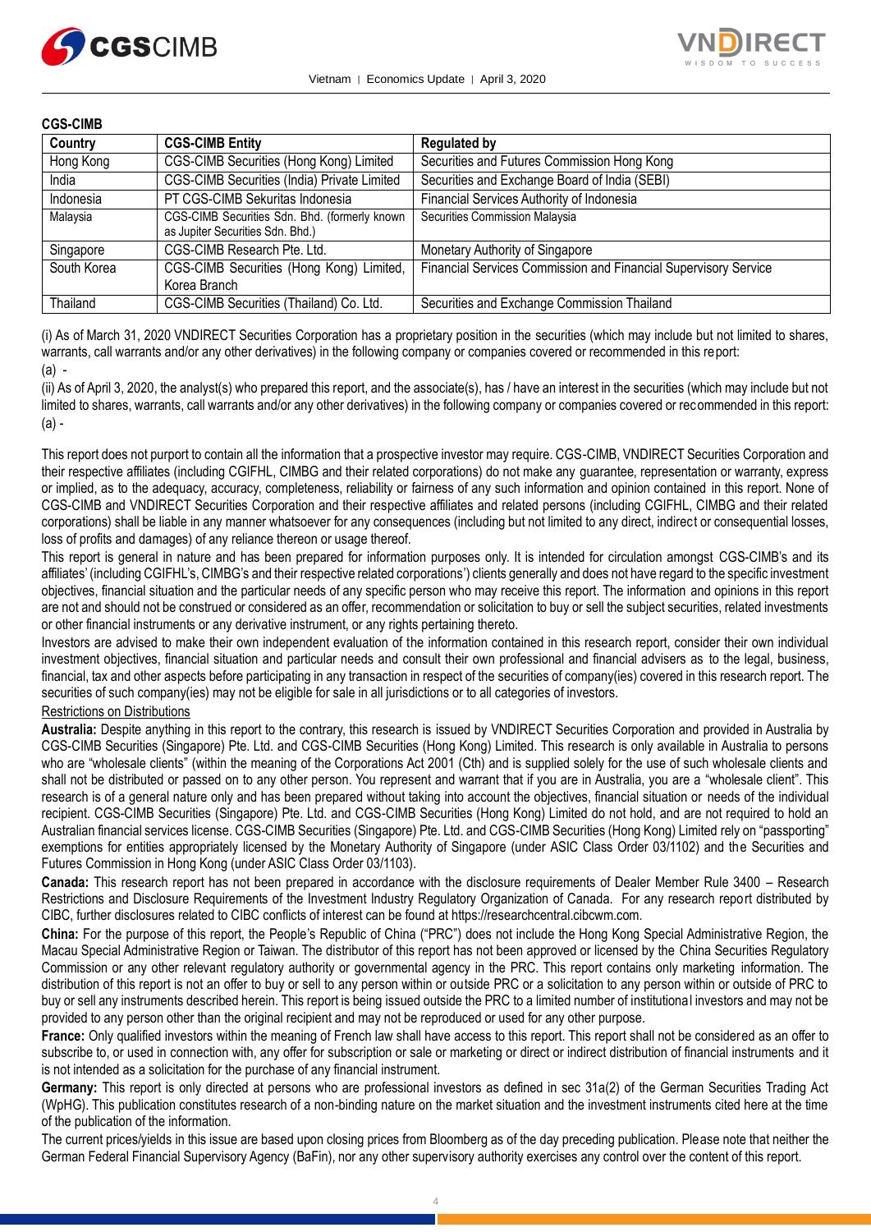



### **CGS-CIMB**

| Country     | <b>CGS-CIMB Entity</b>                                                            | <b>Regulated by</b>                                             |
|-------------|-----------------------------------------------------------------------------------|-----------------------------------------------------------------|
| Hong Kong   | CGS-CIMB Securities (Hong Kong) Limited                                           | Securities and Futures Commission Hong Kong                     |
| India       | CGS-CIMB Securities (India) Private Limited                                       | Securities and Exchange Board of India (SEBI)                   |
| Indonesia   | PT CGS-CIMB Sekuritas Indonesia                                                   | Financial Services Authority of Indonesia                       |
| Malaysia    | CGS-CIMB Securities Sdn. Bhd. (formerly known<br>as Jupiter Securities Sdn. Bhd.) | Securities Commission Malaysia                                  |
| Singapore   | CGS-CIMB Research Pte. Ltd.                                                       | Monetary Authority of Singapore                                 |
| South Korea | CGS-CIMB Securities (Hong Kong) Limited,<br>Korea Branch                          | Financial Services Commission and Financial Supervisory Service |
| Thailand    | CGS-CIMB Securities (Thailand) Co. Ltd.                                           | Securities and Exchange Commission Thailand                     |

(i) As of March 31, 2020 VNDIRECT Securities Corporation has a proprietary position in the securities (which may include but not limited to shares, warrants, call warrants and/or any other derivatives) in the following company or companies covered or recommended in this report:

#### (a) -

(ii) As of April 3, 2020, the analyst(s) who prepared this report, and the associate(s), has / have an interest in the securities (which may include but not limited to shares, warrants, call warrants and/or any other derivatives) in the following company or companies covered or recommended in this report: (a) -

This report does not purport to contain all the information that a prospective investor may require. CGS-CIMB, VNDIRECT Securities Corporation and their respective affiliates (including CGIFHL, CIMBG and their related corporations) do not make any guarantee, representation or warranty, express or implied, as to the adequacy, accuracy, completeness, reliability or fairness of any such information and opinion contained in this report. None of CGS-CIMB and VNDIRECT Securities Corporation and their respective affiliates and related persons (including CGIFHL, CIMBG and their related corporations) shall be liable in any manner whatsoever for any consequences (including but not limited to any direct, indirect or consequential losses, loss of profits and damages) of any reliance thereon or usage thereof.

This report is general in nature and has been prepared for information purposes only. It is intended for circulation amongst CGS-CIMB's and its affiliates' (including CGIFHL's, CIMBG's and their respective related corporations') clients generally and does not have regard to the specific investment objectives, financial situation and the particular needs of any specific person who may receive this report. The information and opinions in this report are not and should not be construed or considered as an offer, recommendation or solicitation to buy or sell the subject securities, related investments or other financial instruments or any derivative instrument, or any rights pertaining thereto.

Investors are advised to make their own independent evaluation of the information contained in this research report, consider their own individual investment objectives, financial situation and particular needs and consult their own professional and financial advisers as to the legal, business, financial, tax and other aspects before participating in any transaction in respect of the securities of company(ies) covered in this research report. The securities of such company(ies) may not be eligible for sale in all jurisdictions or to all categories of investors.

## Restrictions on Distributions

**Australia:** Despite anything in this report to the contrary, this research is issued by VNDIRECT Securities Corporation and provided in Australia by CGS-CIMB Securities (Singapore) Pte. Ltd. and CGS-CIMB Securities (Hong Kong) Limited. This research is only available in Australia to persons who are "wholesale clients" (within the meaning of the Corporations Act 2001 (Cth) and is supplied solely for the use of such wholesale clients and shall not be distributed or passed on to any other person. You represent and warrant that if you are in Australia, you are a "wholesale client". This research is of a general nature only and has been prepared without taking into account the objectives, financial situation or needs of the individual recipient. CGS-CIMB Securities (Singapore) Pte. Ltd. and CGS-CIMB Securities (Hong Kong) Limited do not hold, and are not required to hold an Australian financial services license. CGS-CIMB Securities (Singapore) Pte. Ltd. and CGS-CIMB Securities (Hong Kong) Limited rely on "passporting" exemptions for entities appropriately licensed by the Monetary Authority of Singapore (under ASIC Class Order 03/1102) and the Securities and Futures Commission in Hong Kong (under ASIC Class Order 03/1103).

**Canada:** This research report has not been prepared in accordance with the disclosure requirements of Dealer Member Rule 3400 – Research Restrictions and Disclosure Requirements of the Investment Industry Regulatory Organization of Canada. For any research report distributed by CIBC, further disclosures related to CIBC conflicts of interest can be found at https://researchcentral.cibcwm.com.

**China:** For the purpose of this report, the People's Republic of China ("PRC") does not include the Hong Kong Special Administrative Region, the Macau Special Administrative Region or Taiwan. The distributor of this report has not been approved or licensed by the China Securities Regulatory Commission or any other relevant regulatory authority or governmental agency in the PRC. This report contains only marketing information. The distribution of this report is not an offer to buy or sell to any person within or outside PRC or a solicitation to any person within or outside of PRC to buy or sell any instruments described herein. This report is being issued outside the PRC to a limited number of institutional investors and may not be provided to any person other than the original recipient and may not be reproduced or used for any other purpose.

**France:** Only qualified investors within the meaning of French law shall have access to this report. This report shall not be considered as an offer to subscribe to, or used in connection with, any offer for subscription or sale or marketing or direct or indirect distribution of financial instruments and it is not intended as a solicitation for the purchase of any financial instrument.

**Germany:** This report is only directed at persons who are professional investors as defined in sec 31a(2) of the German Securities Trading Act (WpHG). This publication constitutes research of a non-binding nature on the market situation and the investment instruments cited here at the time of the publication of the information.

The current prices/yields in this issue are based upon closing prices from Bloomberg as of the day preceding publication. Please note that neither the German Federal Financial Supervisory Agency (BaFin), nor any other supervisory authority exercises any control over the content of this report.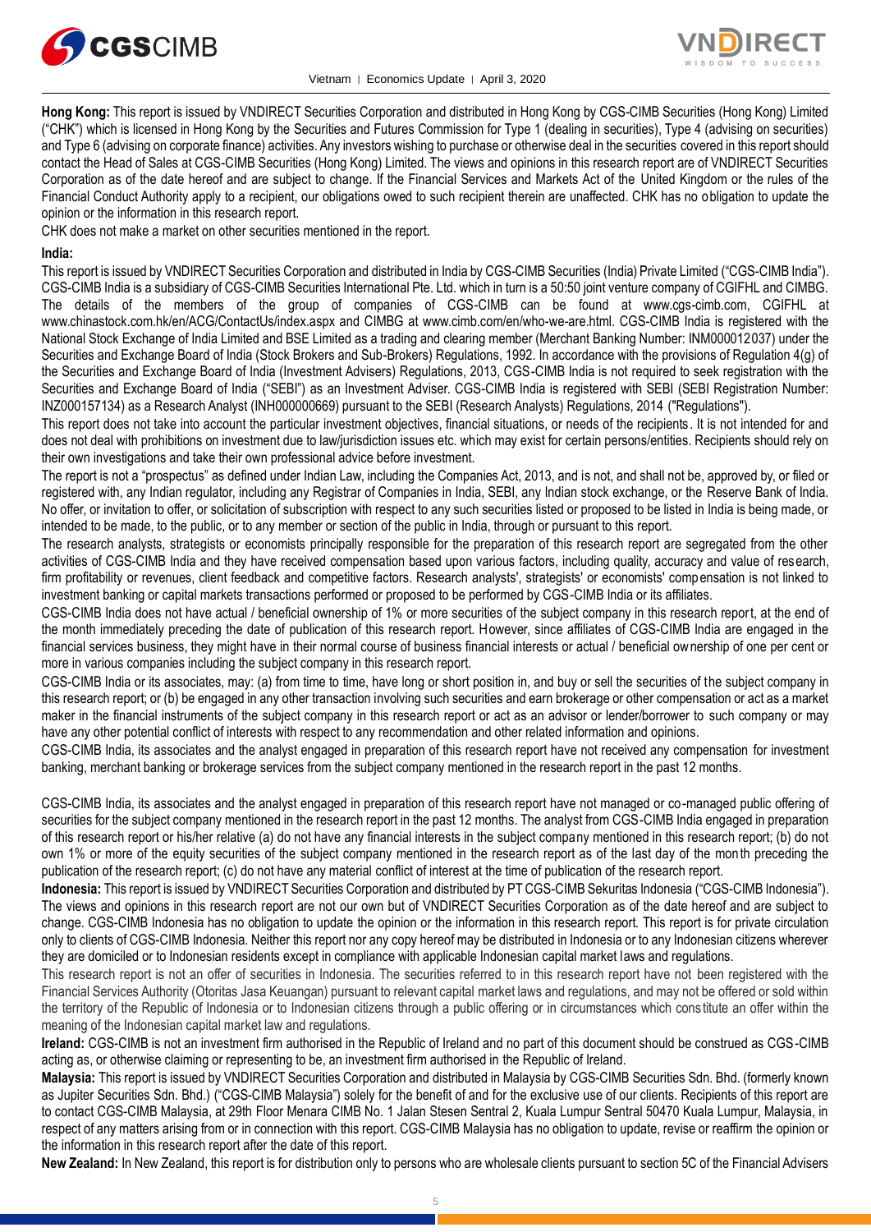



**Hong Kong:** This report is issued by VNDIRECT Securities Corporation and distributed in Hong Kong by CGS-CIMB Securities (Hong Kong) Limited ("CHK") which is licensed in Hong Kong by the Securities and Futures Commission for Type 1 (dealing in securities), Type 4 (advising on securities) and Type 6 (advising on corporate finance) activities. Any investors wishing to purchase or otherwise deal in the securities covered in this report should contact the Head of Sales at CGS-CIMB Securities (Hong Kong) Limited. The views and opinions in this research report are of VNDIRECT Securities Corporation as of the date hereof and are subject to change. If the Financial Services and Markets Act of the United Kingdom or the rules of the Financial Conduct Authority apply to a recipient, our obligations owed to such recipient therein are unaffected. CHK has no obligation to update the opinion or the information in this research report.

CHK does not make a market on other securities mentioned in the report.

#### **India:**

This report is issued by VNDIRECT Securities Corporation and distributed in India by CGS-CIMB Securities (India) Private Limited ("CGS-CIMB India"). CGS-CIMB India is a subsidiary of CGS-CIMB Securities International Pte. Ltd. which in turn is a 50:50 joint venture company of CGIFHL and CIMBG. The details of the members of the group of companies of CGS-CIMB can be found at www.cgs-cimb.com, CGIFHL at www.chinastock.com.hk/en/ACG/ContactUs/index.aspx and CIMBG at www.cimb.com/en/who-we-are.html. CGS-CIMB India is registered with the National Stock Exchange of India Limited and BSE Limited as a trading and clearing member (Merchant Banking Number: INM000012037) under the Securities and Exchange Board of India (Stock Brokers and Sub-Brokers) Regulations, 1992. In accordance with the provisions of Regulation 4(g) of the Securities and Exchange Board of India (Investment Advisers) Regulations, 2013, CGS-CIMB India is not required to seek registration with the Securities and Exchange Board of India ("SEBI") as an Investment Adviser. CGS-CIMB India is registered with SEBI (SEBI Registration Number: INZ000157134) as a Research Analyst (INH000000669) pursuant to the SEBI (Research Analysts) Regulations, 2014 ("Regulations").

This report does not take into account the particular investment objectives, financial situations, or needs of the recipients . It is not intended for and does not deal with prohibitions on investment due to law/jurisdiction issues etc. which may exist for certain persons/entities. Recipients should rely on their own investigations and take their own professional advice before investment.

The report is not a "prospectus" as defined under Indian Law, including the Companies Act, 2013, and is not, and shall not be, approved by, or filed or registered with, any Indian regulator, including any Registrar of Companies in India, SEBI, any Indian stock exchange, or the Reserve Bank of India. No offer, or invitation to offer, or solicitation of subscription with respect to any such securities listed or proposed to be listed in India is being made, or intended to be made, to the public, or to any member or section of the public in India, through or pursuant to this report.

The research analysts, strategists or economists principally responsible for the preparation of this research report are segregated from the other activities of CGS-CIMB India and they have received compensation based upon various factors, including quality, accuracy and value of research, firm profitability or revenues, client feedback and competitive factors. Research analysts', strategists' or economists' compensation is not linked to investment banking or capital markets transactions performed or proposed to be performed by CGS-CIMB India or its affiliates.

CGS-CIMB India does not have actual / beneficial ownership of 1% or more securities of the subject company in this research report, at the end of the month immediately preceding the date of publication of this research report. However, since affiliates of CGS-CIMB India are engaged in the financial services business, they might have in their normal course of business financial interests or actual / beneficial ownership of one per cent or more in various companies including the subject company in this research report.

CGS-CIMB India or its associates, may: (a) from time to time, have long or short position in, and buy or sell the securities of the subject company in this research report; or (b) be engaged in any other transaction involving such securities and earn brokerage or other compensation or act as a market maker in the financial instruments of the subject company in this research report or act as an advisor or lender/borrower to such company or may have any other potential conflict of interests with respect to any recommendation and other related information and opinions.

CGS-CIMB India, its associates and the analyst engaged in preparation of this research report have not received any compensation for investment banking, merchant banking or brokerage services from the subject company mentioned in the research report in the past 12 months.

CGS-CIMB India, its associates and the analyst engaged in preparation of this research report have not managed or co-managed public offering of securities for the subject company mentioned in the research report in the past 12 months. The analyst from CGS-CIMB India engaged in preparation of this research report or his/her relative (a) do not have any financial interests in the subject company mentioned in this research report; (b) do not own 1% or more of the equity securities of the subject company mentioned in the research report as of the last day of the month preceding the publication of the research report; (c) do not have any material conflict of interest at the time of publication of the research report.

**Indonesia:** This report is issued by VNDIRECT Securities Corporation and distributed by PT CGS-CIMB Sekuritas Indonesia ("CGS-CIMB Indonesia"). The views and opinions in this research report are not our own but of VNDIRECT Securities Corporation as of the date hereof and are subject to change. CGS-CIMB Indonesia has no obligation to update the opinion or the information in this research report. This report is for private circulation only to clients of CGS-CIMB Indonesia. Neither this report nor any copy hereof may be distributed in Indonesia or to any Indonesian citizens wherever they are domiciled or to Indonesian residents except in compliance with applicable Indonesian capital market laws and regulations.

This research report is not an offer of securities in Indonesia. The securities referred to in this research report have not been registered with the Financial Services Authority (Otoritas Jasa Keuangan) pursuant to relevant capital market laws and regulations, and may not be offered or sold within the territory of the Republic of Indonesia or to Indonesian citizens through a public offering or in circumstances which cons titute an offer within the meaning of the Indonesian capital market law and regulations.

**Ireland:** CGS-CIMB is not an investment firm authorised in the Republic of Ireland and no part of this document should be construed as CGS-CIMB acting as, or otherwise claiming or representing to be, an investment firm authorised in the Republic of Ireland.

**Malaysia:** This report is issued by VNDIRECT Securities Corporation and distributed in Malaysia by CGS-CIMB Securities Sdn. Bhd. (formerly known as Jupiter Securities Sdn. Bhd.) ("CGS-CIMB Malaysia") solely for the benefit of and for the exclusive use of our clients. Recipients of this report are to contact CGS-CIMB Malaysia, at 29th Floor Menara CIMB No. 1 Jalan Stesen Sentral 2, Kuala Lumpur Sentral 50470 Kuala Lumpur, Malaysia, in respect of any matters arising from or in connection with this report. CGS-CIMB Malaysia has no obligation to update, revise or reaffirm the opinion or the information in this research report after the date of this report.

**New Zealand:** In New Zealand, this report is for distribution only to persons who are wholesale clients pursuant to section 5C of the Financial Advisers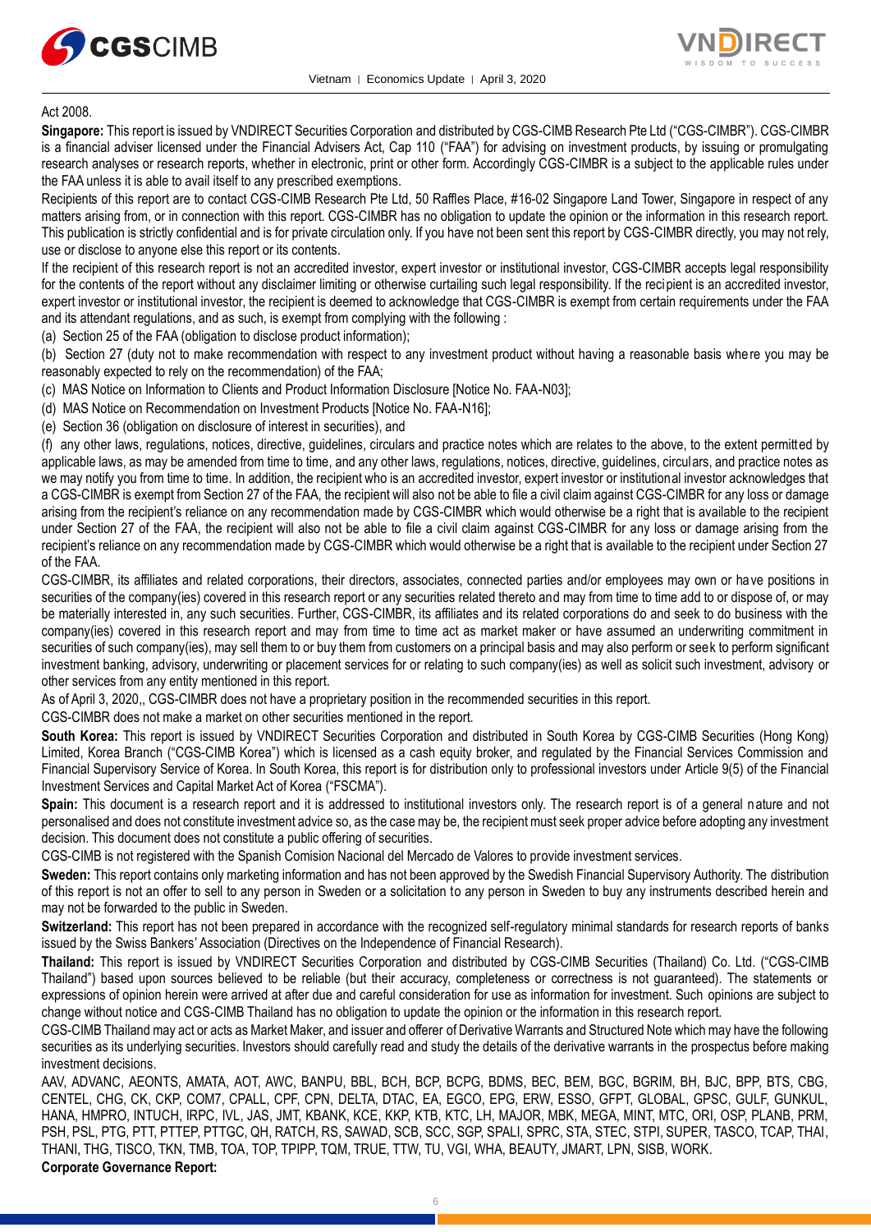



#### Act 2008.

**Singapore:** This report is issued by VNDIRECT Securities Corporation and distributed by CGS-CIMB Research Pte Ltd ("CGS-CIMBR"). CGS-CIMBR is a financial adviser licensed under the Financial Advisers Act, Cap 110 ("FAA") for advising on investment products, by issuing or promulgating research analyses or research reports, whether in electronic, print or other form. Accordingly CGS-CIMBR is a subject to the applicable rules under the FAA unless it is able to avail itself to any prescribed exemptions.

Recipients of this report are to contact CGS-CIMB Research Pte Ltd, 50 Raffles Place, #16-02 Singapore Land Tower, Singapore in respect of any matters arising from, or in connection with this report. CGS-CIMBR has no obligation to update the opinion or the information in this research report. This publication is strictly confidential and is for private circulation only. If you have not been sent this report by CGS-CIMBR directly, you may not rely, use or disclose to anyone else this report or its contents.

If the recipient of this research report is not an accredited investor, expert investor or institutional investor, CGS-CIMBR accepts legal responsibility for the contents of the report without any disclaimer limiting or otherwise curtailing such legal responsibility. If the recipient is an accredited investor, expert investor or institutional investor, the recipient is deemed to acknowledge that CGS-CIMBR is exempt from certain requirements under the FAA and its attendant regulations, and as such, is exempt from complying with the following :

(a) Section 25 of the FAA (obligation to disclose product information);

(b) Section 27 (duty not to make recommendation with respect to any investment product without having a reasonable basis where you may be reasonably expected to rely on the recommendation) of the FAA;

(c) MAS Notice on Information to Clients and Product Information Disclosure [Notice No. FAA-N03];

(d) MAS Notice on Recommendation on Investment Products [Notice No. FAA-N16];

(e) Section 36 (obligation on disclosure of interest in securities), and

(f) any other laws, regulations, notices, directive, guidelines, circulars and practice notes which are relates to the above, to the extent permitted by applicable laws, as may be amended from time to time, and any other laws, regulations, notices, directive, guidelines, circulars, and practice notes as we may notify you from time to time. In addition, the recipient who is an accredited investor, expert investor or institutional investor acknowledges that a CGS-CIMBR is exempt from Section 27 of the FAA, the recipient will also not be able to file a civil claim against CGS-CIMBR for any loss or damage arising from the recipient's reliance on any recommendation made by CGS-CIMBR which would otherwise be a right that is available to the recipient under Section 27 of the FAA, the recipient will also not be able to file a civil claim against CGS-CIMBR for any loss or damage arising from the recipient's reliance on any recommendation made by CGS-CIMBR which would otherwise be a right that is available to the recipient under Section 27 of the FAA.

CGS-CIMBR, its affiliates and related corporations, their directors, associates, connected parties and/or employees may own or have positions in securities of the company(ies) covered in this research report or any securities related thereto and may from time to time add to or dispose of, or may be materially interested in, any such securities. Further, CGS-CIMBR, its affiliates and its related corporations do and seek to do business with the company(ies) covered in this research report and may from time to time act as market maker or have assumed an underwriting commitment in securities of such company(ies), may sell them to or buy them from customers on a principal basis and may also perform or seek to perform significant investment banking, advisory, underwriting or placement services for or relating to such company(ies) as well as solicit such investment, advisory or other services from any entity mentioned in this report.

As of April 3, 2020,, CGS-CIMBR does not have a proprietary position in the recommended securities in this report.

CGS-CIMBR does not make a market on other securities mentioned in the report.

**South Korea:** This report is issued by VNDIRECT Securities Corporation and distributed in South Korea by CGS-CIMB Securities (Hong Kong) Limited, Korea Branch ("CGS-CIMB Korea") which is licensed as a cash equity broker, and regulated by the Financial Services Commission and Financial Supervisory Service of Korea. In South Korea, this report is for distribution only to professional investors under Article 9(5) of the Financial Investment Services and Capital Market Act of Korea ("FSCMA").

**Spain:** This document is a research report and it is addressed to institutional investors only. The research report is of a general nature and not personalised and does not constitute investment advice so, as the case may be, the recipient must seek proper advice before adopting any investment decision. This document does not constitute a public offering of securities.

CGS-CIMB is not registered with the Spanish Comision Nacional del Mercado de Valores to provide investment services.

**Sweden:** This report contains only marketing information and has not been approved by the Swedish Financial Supervisory Authority. The distribution of this report is not an offer to sell to any person in Sweden or a solicitation to any person in Sweden to buy any instruments described herein and may not be forwarded to the public in Sweden.

**Switzerland:** This report has not been prepared in accordance with the recognized self-regulatory minimal standards for research reports of banks issued by the Swiss Bankers' Association (Directives on the Independence of Financial Research).

**Thailand:** This report is issued by VNDIRECT Securities Corporation and distributed by CGS-CIMB Securities (Thailand) Co. Ltd. ("CGS-CIMB Thailand") based upon sources believed to be reliable (but their accuracy, completeness or correctness is not guaranteed). The statements or expressions of opinion herein were arrived at after due and careful consideration for use as information for investment. Such opinions are subject to change without notice and CGS-CIMB Thailand has no obligation to update the opinion or the information in this research report.

CGS-CIMB Thailand may act or acts as Market Maker, and issuer and offerer of Derivative Warrants and Structured Note which may have the following securities as its underlying securities. Investors should carefully read and study the details of the derivative warrants in the prospectus before making investment decisions.

AAV, ADVANC, AEONTS, AMATA, AOT, AWC, BANPU, BBL, BCH, BCP, BCPG, BDMS, BEC, BEM, BGC, BGRIM, BH, BJC, BPP, BTS, CBG, CENTEL, CHG, CK, CKP, COM7, CPALL, CPF, CPN, DELTA, DTAC, EA, EGCO, EPG, ERW, ESSO, GFPT, GLOBAL, GPSC, GULF, GUNKUL, HANA, HMPRO, INTUCH, IRPC, IVL, JAS, JMT, KBANK, KCE, KKP, KTB, KTC, LH, MAJOR, MBK, MEGA, MINT, MTC, ORI, OSP, PLANB, PRM, PSH, PSL, PTG, PTT, PTTEP, PTTGC, QH, RATCH, RS, SAWAD, SCB, SCC, SGP, SPALI, SPRC, STA, STEC, STPI, SUPER, TASCO, TCAP, THAI, THANI, THG, TISCO, TKN, TMB, TOA, TOP, TPIPP, TQM, TRUE, TTW, TU, VGI, WHA, BEAUTY, JMART, LPN, SISB, WORK. **Corporate Governance Report:**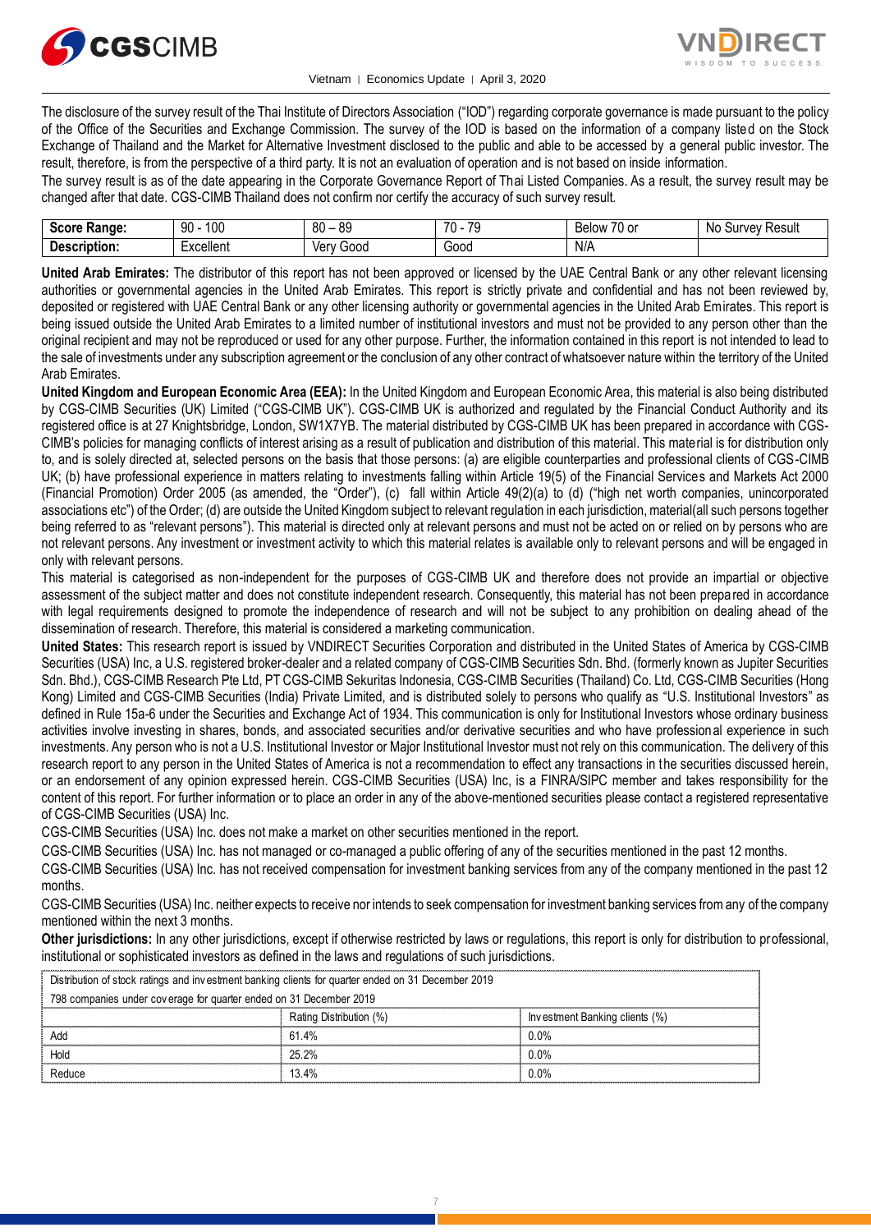



The disclosure of the survey result of the Thai Institute of Directors Association ("IOD") regarding corporate governance is made pursuant to the policy of the Office of the Securities and Exchange Commission. The survey of the IOD is based on the information of a company listed on the Stock Exchange of Thailand and the Market for Alternative Investment disclosed to the public and able to be accessed by a general public investor. The result, therefore, is from the perspective of a third party. It is not an evaluation of operation and is not based on inside information.

The survey result is as of the date appearing in the Corporate Governance Report of Thai Listed Companies. As a result, the survey result may be changed after that date. CGS-CIMB Thailand does not confirm nor certify the accuracy of such survey result.

| <b>SOOPF</b><br>inae:<br> | 100<br>90        | 80<br>00<br>$\overline{\phantom{0}}$<br>o. | 70<br>$\overline{\phantom{a}}$ | $\rightarrow$<br>Below<br>۱o | Result<br>۱۵۱٬<br>sur<br>No |
|---------------------------|------------------|--------------------------------------------|--------------------------------|------------------------------|-----------------------------|
| n.<br>$     -$<br>uon     | <b>Excellent</b> | 000خ<br>Verv                               | 000L                           | N/A                          |                             |

**United Arab Emirates:** The distributor of this report has not been approved or licensed by the UAE Central Bank or any other relevant licensing authorities or governmental agencies in the United Arab Emirates. This report is strictly private and confidential and has not been reviewed by, deposited or registered with UAE Central Bank or any other licensing authority or governmental agencies in the United Arab Emirates. This report is being issued outside the United Arab Emirates to a limited number of institutional investors and must not be provided to any person other than the original recipient and may not be reproduced or used for any other purpose. Further, the information contained in this report is not intended to lead to the sale of investments under any subscription agreement or the conclusion of any other contract of whatsoever nature within the territory of the United Arab Emirates.

**United Kingdom and European Economic Area (EEA):** In the United Kingdom and European Economic Area, this material is also being distributed by CGS-CIMB Securities (UK) Limited ("CGS-CIMB UK"). CGS-CIMB UK is authorized and regulated by the Financial Conduct Authority and its registered office is at 27 Knightsbridge, London, SW1X7YB. The material distributed by CGS-CIMB UK has been prepared in accordance with CGS-CIMB's policies for managing conflicts of interest arising as a result of publication and distribution of this material. This material is for distribution only to, and is solely directed at, selected persons on the basis that those persons: (a) are eligible counterparties and professional clients of CGS-CIMB UK; (b) have professional experience in matters relating to investments falling within Article 19(5) of the Financial Services and Markets Act 2000 (Financial Promotion) Order 2005 (as amended, the "Order"), (c) fall within Article 49(2)(a) to (d) ("high net worth companies, unincorporated associations etc") of the Order; (d) are outside the United Kingdom subject to relevant regulation in each jurisdiction, material(all such persons together being referred to as "relevant persons"). This material is directed only at relevant persons and must not be acted on or relied on by persons who are not relevant persons. Any investment or investment activity to which this material relates is available only to relevant persons and will be engaged in only with relevant persons.

This material is categorised as non-independent for the purposes of CGS-CIMB UK and therefore does not provide an impartial or objective assessment of the subject matter and does not constitute independent research. Consequently, this material has not been prepared in accordance with legal requirements designed to promote the independence of research and will not be subject to any prohibition on dealing ahead of the dissemination of research. Therefore, this material is considered a marketing communication.

**United States:** This research report is issued by VNDIRECT Securities Corporation and distributed in the United States of America by CGS-CIMB Securities (USA) Inc, a U.S. registered broker-dealer and a related company of CGS-CIMB Securities Sdn. Bhd. (formerly known as Jupiter Securities Sdn. Bhd.), CGS-CIMB Research Pte Ltd, PT CGS-CIMB Sekuritas Indonesia, CGS-CIMB Securities (Thailand) Co. Ltd, CGS-CIMB Securities (Hong Kong) Limited and CGS-CIMB Securities (India) Private Limited, and is distributed solely to persons who qualify as "U.S. Institutional Investors" as defined in Rule 15a-6 under the Securities and Exchange Act of 1934. This communication is only for Institutional Investors whose ordinary business activities involve investing in shares, bonds, and associated securities and/or derivative securities and who have professional experience in such investments. Any person who is not a U.S. Institutional Investor or Major Institutional Investor must not rely on this communication. The delivery of this research report to any person in the United States of America is not a recommendation to effect any transactions in the securities discussed herein, or an endorsement of any opinion expressed herein. CGS-CIMB Securities (USA) Inc, is a FINRA/SIPC member and takes responsibility for the content of this report. For further information or to place an order in any of the above-mentioned securities please contact a registered representative of CGS-CIMB Securities (USA) Inc.

CGS-CIMB Securities (USA) Inc. does not make a market on other securities mentioned in the report.

CGS-CIMB Securities (USA) Inc. has not managed or co-managed a public offering of any of the securities mentioned in the past 12 months.

CGS-CIMB Securities (USA) Inc. has not received compensation for investment banking services from any of the company mentioned in the past 12 months.

CGS-CIMB Securities (USA) Inc. neither expects to receive nor intends to seek compensation for investment banking services from any of the company mentioned within the next 3 months.

**Other jurisdictions:** In any other jurisdictions, except if otherwise restricted by laws or regulations, this report is only for distribution to professional, institutional or sophisticated investors as defined in the laws and regulations of such jurisdictions.

| Distribution of stock ratings and investment banking clients for quarter ended on 31 December 2019 |                         |                                |  |  |
|----------------------------------------------------------------------------------------------------|-------------------------|--------------------------------|--|--|
| 798 companies under coverage for quarter ended on 31 December 2019                                 |                         |                                |  |  |
|                                                                                                    | Rating Distribution (%) | Investment Banking clients (%) |  |  |
| Add                                                                                                | 61.4%                   | $0.0\%$                        |  |  |
| Hold                                                                                               | 25.2%                   | $0.0\%$                        |  |  |
| Reduce                                                                                             | 134%                    | 0.0%                           |  |  |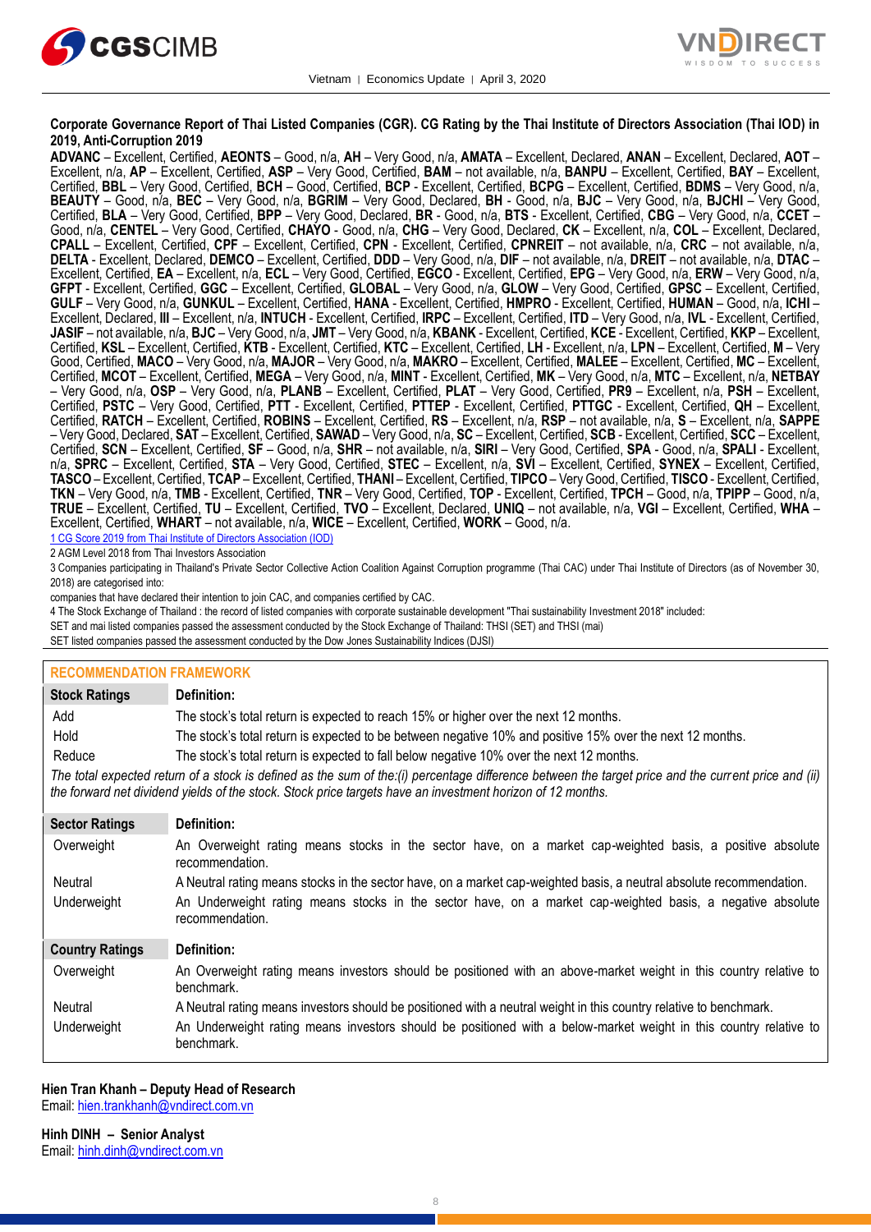



#### **Corporate Governance Report of Thai Listed Companies (CGR). CG Rating by the Thai Institute of Directors Association (Thai IOD) in 2019, Anti-Corruption 2019**

**ADVANC** – Excellent, Certified, **AEONTS** – Good, n/a, **AH** – Very Good, n/a, **AMATA** – Excellent, Declared, **ANAN** – Excellent, Declared, **AOT** – Excellent, n/a, **AP** – Excellent, Certified, **ASP** – Very Good, Certified, **BAM** – not available, n/a, **BANPU** – Excellent, Certified, **BAY** – Excellent, Certified, **BBL** – Very Good, Certified, **BCH** – Good, Certified, **BCP** - Excellent, Certified, **BCPG** – Excellent, Certified, **BDMS** – Very Good, n/a, **BEAUTY** – Good, n/a, **BEC** – Very Good, n/a, **BGRIM** – Very Good, Declared, **BH** - Good, n/a, **BJC** – Very Good, n/a, **BJCHI** – Very Good, Certified, **BLA** – Very Good, Certified, **BPP** – Very Good, Declared, **BR** - Good, n/a, **BTS** - Excellent, Certified, **CBG** – Very Good, n/a, **CCET** – Good, n/a, **CENTEL** – Very Good, Certified, **CHAYO** - Good, n/a, **CHG** – Very Good, Declared, **CK** – Excellent, n/a, **COL** – Excellent, Declared, **CPALL** – Excellent, Certified, **CPF** – Excellent, Certified, **CPN** - Excellent, Certified, **CPNREIT** – not available, n/a, **CRC** – not available, n/a, **DELTA** - Excellent, Declared, **DEMCO** – Excellent, Certified, **DDD** – Very Good, n/a, **DIF** – not available, n/a, **DREIT** – not available, n/a, **DTAC** – Excellent, Certified, **EA** – Excellent, n/a, **ECL** – Very Good, Certified, **EGCO** - Excellent, Certified, **EPG** – Very Good, n/a, **ERW** – Very Good, n/a, **GFPT** - Excellent, Certified, **GGC** – Excellent, Certified, **GLOBAL** – Very Good, n/a, **GLOW** – Very Good, Certified, **GPSC** – Excellent, Certified, **GULF** – Very Good, n/a, **GUNKUL** – Excellent, Certified, **HANA** - Excellent, Certified, **HMPRO** - Excellent, Certified, **HUMAN** – Good, n/a, **ICHI** – Excellent, Declared, **III** – Excellent, n/a, **INTUCH** - Excellent, Certified, **IRPC** – Excellent, Certified, **ITD** – Very Good, n/a, **IVL** - Excellent, Certified, **JASIF** – not available, n/a, **BJC** – Very Good, n/a, **JMT** – Very Good, n/a, **KBANK** - Excellent, Certified, **KCE** - Excellent, Certified, **KKP** – Excellent, Certified, **KSL** – Excellent, Certified, **KTB** - Excellent, Certified, **KTC** – Excellent, Certified, **LH** - Excellent, n/a, **LPN** – Excellent, Certified, **M** – Very Good, Certified, **MACO** – Very Good, n/a, **MAJOR** – Very Good, n/a, **MAKRO** – Excellent, Certified, **MALEE** – Excellent, Certified, **MC** – Excellent, Certified, **MCOT** – Excellent, Certified, **MEGA** – Very Good, n/a, **MINT** - Excellent, Certified, **MK** – Very Good, n/a, **MTC** – Excellent, n/a, **NETBAY** – Very Good, n/a, **OSP** – Very Good, n/a, **PLANB** – Excellent, Certified, **PLAT** – Very Good, Certified, **PR9** – Excellent, n/a, **PSH** – Excellent, Certified, **PSTC** – Very Good, Certified, **PTT** - Excellent, Certified, **PTTEP** - Excellent, Certified, **PTTGC** - Excellent, Certified, **QH** – Excellent, Certified, **RATCH** – Excellent, Certified, **ROBINS** – Excellent, Certified, **RS** – Excellent, n/a, **RSP** – not available, n/a, **S** – Excellent, n/a, **SAPPE** – Very Good, Declared, **SAT** – Excellent, Certified, **SAWAD** – Very Good, n/a, **SC** – Excellent, Certified, **SCB** - Excellent, Certified, **SCC** – Excellent, Certified, **SCN** – Excellent, Certified, **SF** – Good, n/a, **SHR** – not available, n/a, **SIRI** – Very Good, Certified, **SPA** - Good, n/a, **SPALI** - Excellent, n/a, **SPRC** – Excellent, Certified, **STA** – Very Good, Certified, **STEC** – Excellent, n/a, **SVI** – Excellent, Certified, **SYNEX** – Excellent, Certified, **TASCO** – Excellent, Certified, **TCAP** – Excellent, Certified, **THANI** – Excellent, Certified, **TIPCO** – Very Good, Certified, **TISCO** - Excellent, Certified, **TKN** – Very Good, n/a, **TMB** - Excellent, Certified, **TNR** – Very Good, Certified, **TOP** - Excellent, Certified, **TPCH** – Good, n/a, **TPIPP** – Good, n/a, **TRUE** – Excellent, Certified, **TU** – Excellent, Certified, **TVO** – Excellent, Declared, **UNIQ** – not available, n/a, **VGI** – Excellent, Certified, **WHA** – Excellent, Certified, **WHART** – not available, n/a, **WICE** – Excellent, Certified, **WORK** – Good, n/a.

1 CG Score 2019 from Thai Institute of Directors Association (IOD)

2 AGM Level 2018 from Thai Investors Association

3 Companies participating in Thailand's Private Sector Collective Action Coalition Against Corruption programme (Thai CAC) under Thai Institute of Directors (as of November 30, 2018) are categorised into:

companies that have declared their intention to join CAC, and companies certified by CAC.

- 4 [The Stock Exchange of Thailand : the record of listed companies with corporate sustainable development "Thai sustainability Investment 2018" included:](http://www.set.or.th/sustainable_dev/en/sr/sri/tsi_p1.html)
- SET and mai listed companies passed the assessment conducted by the Stock Exchange of Thailand: THSI (SET) and THSI (mai)

SET listed companies passed the assessment conducted by the Dow Jones Sustainability Indices (DJSI)

| <b>RECOMMENDATION FRAMEWORK</b> |                                                                                                                                                                                                                                                                   |
|---------------------------------|-------------------------------------------------------------------------------------------------------------------------------------------------------------------------------------------------------------------------------------------------------------------|
| <b>Stock Ratings</b>            | Definition:                                                                                                                                                                                                                                                       |
| Add                             | The stock's total return is expected to reach 15% or higher over the next 12 months.                                                                                                                                                                              |
| Hold                            | The stock's total return is expected to be between negative 10% and positive 15% over the next 12 months.                                                                                                                                                         |
| Reduce                          | The stock's total return is expected to fall below negative 10% over the next 12 months.                                                                                                                                                                          |
|                                 | The total expected return of a stock is defined as the sum of the:(i) percentage difference between the target price and the current price and (ii)<br>the forward net dividend yields of the stock. Stock price targets have an investment horizon of 12 months. |
| <b>Sector Ratings</b>           | Definition:                                                                                                                                                                                                                                                       |
| Overweight                      | An Overweight rating means stocks in the sector have, on a market cap-weighted basis, a positive absolute<br>recommendation.                                                                                                                                      |
| Neutral                         | A Neutral rating means stocks in the sector have, on a market cap-weighted basis, a neutral absolute recommendation.                                                                                                                                              |
| Underweight                     | An Underweight rating means stocks in the sector have, on a market cap-weighted basis, a negative absolute<br>recommendation.                                                                                                                                     |
| <b>Country Ratings</b>          | Definition:                                                                                                                                                                                                                                                       |
| Overweight                      | An Overweight rating means investors should be positioned with an above-market weight in this country relative to<br>benchmark.                                                                                                                                   |
| Neutral                         | A Neutral rating means investors should be positioned with a neutral weight in this country relative to benchmark.                                                                                                                                                |
| Underweight                     | An Underweight rating means investors should be positioned with a below-market weight in this country relative to<br>benchmark.                                                                                                                                   |

#### **Hien Tran Khanh – Deputy Head of Research**

Email[: hien.trankhanh@vndirect.com.vn](mailto:hien.trankhanh@vndirect.com.vn)

**Hinh DINH – Senior Analyst** Email[: hinh.dinh@vndirect.com.vn](mailto:hinh.dinh@vndirect.com.vn)